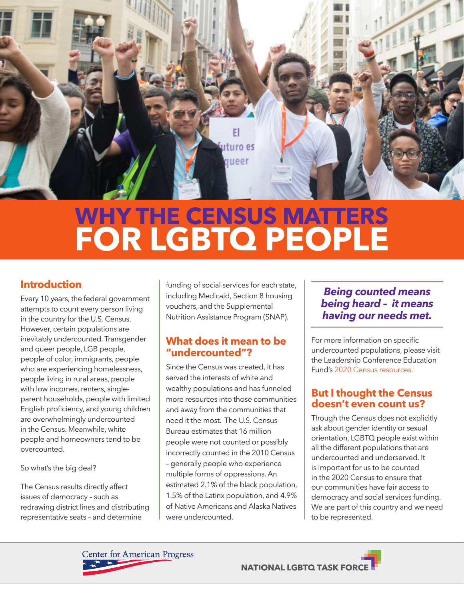

# **WHY THE CENSUS MATTERS FOR LGBTQ PEOPLE**

# **Introduction**

Every 10 years, the federal government attempts to count every person living in the country for the U.S. Census. However, certain populations are inevitably undercounted. Transgender and queer people, LGB people, people of color, immigrants, people who are experiencing homelessness, people living in rural areas, people with low incomes, renters, singleparent households, people with limited English proficiency, and young children are overwhelmingly undercounted in the Census. Meanwhile, white people and homeowners tend to be overcounted.

So what's the big deal?

The Census results directly affect issues of democracy – such as redrawing district lines and distributing representative seats – and determine

funding of social services for each state, including Medicaid, Section 8 housing vouchers, and the Supplemental Nutrition Assistance Program (SNAP).

# **What does it mean to be "undercounted"?**

Since the Census was created, it has served the interests of white and wealthy populations and has funneled more resources into those communities and away from the communities that need it the most. The U.S. Census Bureau estimates that 16 million people were not counted or possibly incorrectly counted in the 2010 Census – generally people who experience multiple forms of oppressions. An estimated 2.1% of the black population, 1.5% of the Latinx population, and 4.9% of Native Americans and Alaska Natives were undercounted.

# *Being counted means being heard – it means having our needs met.*

For more information on specific undercounted populations, please visit the Leadership Conference Education Fund's [2020 Census resources.](http://civilrights.org/value/2020-census/)

### **But I thought the Census doesn't even count us?**

Though the Census does not explicitly ask about gender identity or sexual orientation, LGBTQ people exist within all the different populations that are undercounted and underserved. It is important for us to be counted in the 2020 Census to ensure that our communities have fair access to democracy and social services funding. We are part of this country and we need to be represented.